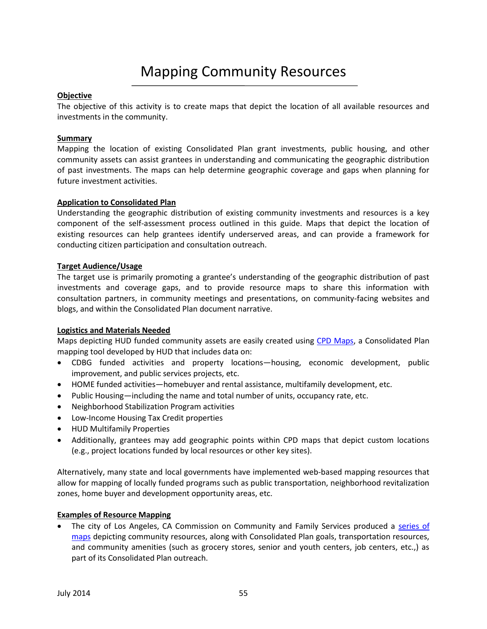# **Objective**

The objective of this activity is to create maps that depict the location of all available resources and investments in the community.

## **Summary**

Mapping the location of existing Consolidated Plan grant investments, public housing, and other community assets can assist grantees in understanding and communicating the geographic distribution of past investments. The maps can help determine geographic coverage and gaps when planning for future investment activities.

### **Application to Consolidated Plan**

Understanding the geographic distribution of existing community investments and resources is a key component of the self-assessment process outlined in this guide. Maps that depict the location of existing resources can help grantees identify underserved areas, and can provide a framework for conducting citizen participation and consultation outreach.

### **Target Audience/Usage**

The target use is primarily promoting a grantee's understanding of the geographic distribution of past investments and coverage gaps, and to provide resource maps to share this information with consultation partners, in community meetings and presentations, on community-facing websites and blogs, and within the Consolidated Plan document narrative.

# **Logistics and Materials Needed**

Maps depicting HUD funded community assets are easily created using [CPD Maps,](http://portal.hud.gov/hudportal/HUD?src=/program_offices/comm_planning/about/conplan/cpdmaps) a Consolidated Plan mapping tool developed by HUD that includes data on:

- CDBG funded activities and property locations—housing, economic development, public improvement, and public services projects, etc.
- HOME funded activities—homebuyer and rental assistance, multifamily development, etc.
- Public Housing—including the name and total number of units, occupancy rate, etc.
- Neighborhood Stabilization Program activities
- Low-Income Housing Tax Credit properties
- HUD Multifamily Properties
- Additionally, grantees may add geographic points within CPD maps that depict custom locations (e.g., project locations funded by local resources or other key sites).

Alternatively, many state and local governments have implemented web-based mapping resources that allow for mapping of locally funded programs such as public transportation, neighborhood revitalization zones, home buyer and development opportunity areas, etc.

# **Examples of Resource Mapping**

 The city of Los Angeles, CA Commission on Community and Family Services produced a [series of](http://ccfs.lacity.org/resources.html) [maps](http://ccfs.lacity.org/resources.html) depicting community resources, along with Consolidated Plan goals, transportation resources, and community amenities (such as grocery stores, senior and youth centers, job centers, etc.,) as part of its Consolidated Plan outreach.